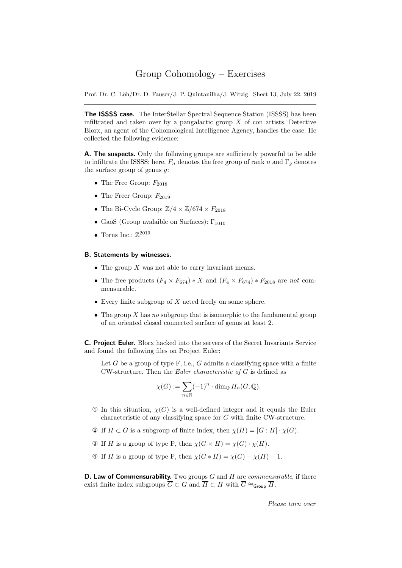## Group Cohomology – Exercises

Prof. Dr. C. Löh/Dr. D. Fauser/J. P. Quintanilha/J. Witzig Sheet 13, July 22, 2019

The ISSSS case. The InterStellar Spectral Sequence Station (ISSSS) has been infiltrated and taken over by a pangalactic group  $X$  of con artists. Detective Blorx, an agent of the Cohomological Intelligence Agency, handles the case. He collected the following evidence:

A. The suspects. Only the following groups are sufficiently powerful to be able to infiltrate the ISSSS; here,  $F_n$  denotes the free group of rank n and  $\Gamma_q$  denotes the surface group of genus  $q$ :

- The Free Group:  $F_{2018}$
- The Freer Group:  $F_{2019}$
- The Bi-Cycle Group:  $\mathbb{Z}/4 \times \mathbb{Z}/674 \times F_{2018}$
- GaoS (Group avalaible on Surfaces):  $\Gamma_{1010}$
- Torus Inc.:  $\mathbb{Z}^{2019}$

## B. Statements by witnesses.

- The group  $X$  was not able to carry invariant means.
- The free products  $(F_4 \times F_{674})$  \* X and  $(F_4 \times F_{674})$  \*  $F_{2018}$  are not commensurable.
- $\bullet$  Every finite subgroup of  $X$  acted freely on some sphere.
- The group  $X$  has no subgroup that is isomorphic to the fundamental group of an oriented closed connected surface of genus at least 2.

C. Project Euler. Blorx hacked into the servers of the Secret Invariants Service and found the following files on Project Euler:

Let G be a group of type  $F$ , i.e., G admits a classifying space with a finite CW-structure. Then the Euler characteristic of G is defined as

$$
\chi(G) := \sum_{n \in \mathbb{N}} (-1)^n \cdot \dim_{\mathbb{Q}} H_n(G; \mathbb{Q}).
$$

- $\odot$  In this situation,  $\chi(G)$  is a well-defined integer and it equals the Euler characteristic of any classifying space for G with finite CW-structure.
- $\mathcal{D}$  If  $H \subset G$  is a subgroup of finite index, then  $\chi(H) = [G : H] \cdot \chi(G)$ .
- **③** If H is a group of type F, then  $\chi(G \times H) = \chi(G) \cdot \chi(H)$ .
- $\Phi$  If H is a group of type F, then  $\chi(G * H) = \chi(G) + \chi(H) 1$ .

**D. Law of Commensurability.** Two groups  $G$  and  $H$  are *commensurable*, if there exist finite index subgroups  $\overline{G} \subset G$  and  $\overline{H} \subset H$  with  $\overline{G} \cong_{\mathsf{Group}} \overline{H}$ .

Please turn over